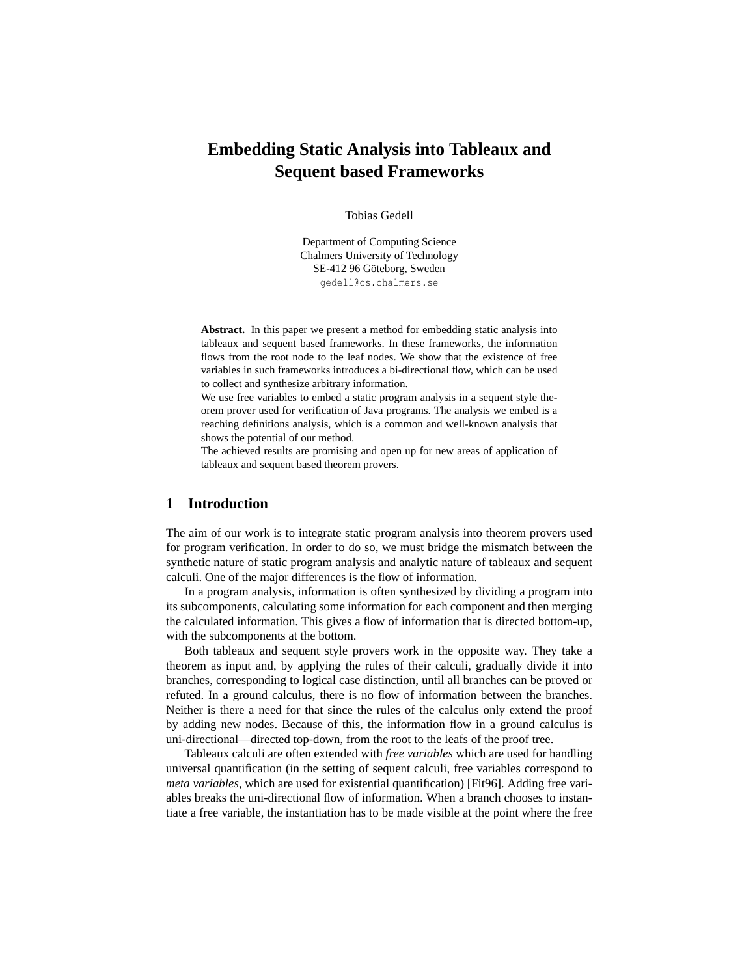# **Embedding Static Analysis into Tableaux and Sequent based Frameworks**

Tobias Gedell

Department of Computing Science Chalmers University of Technology SE-412 96 Göteborg, Sweden gedell@cs.chalmers.se

**Abstract.** In this paper we present a method for embedding static analysis into tableaux and sequent based frameworks. In these frameworks, the information flows from the root node to the leaf nodes. We show that the existence of free variables in such frameworks introduces a bi-directional flow, which can be used to collect and synthesize arbitrary information.

We use free variables to embed a static program analysis in a sequent style theorem prover used for verification of Java programs. The analysis we embed is a reaching definitions analysis, which is a common and well-known analysis that shows the potential of our method.

The achieved results are promising and open up for new areas of application of tableaux and sequent based theorem provers.

# **1 Introduction**

The aim of our work is to integrate static program analysis into theorem provers used for program verification. In order to do so, we must bridge the mismatch between the synthetic nature of static program analysis and analytic nature of tableaux and sequent calculi. One of the major differences is the flow of information.

In a program analysis, information is often synthesized by dividing a program into its subcomponents, calculating some information for each component and then merging the calculated information. This gives a flow of information that is directed bottom-up, with the subcomponents at the bottom.

Both tableaux and sequent style provers work in the opposite way. They take a theorem as input and, by applying the rules of their calculi, gradually divide it into branches, corresponding to logical case distinction, until all branches can be proved or refuted. In a ground calculus, there is no flow of information between the branches. Neither is there a need for that since the rules of the calculus only extend the proof by adding new nodes. Because of this, the information flow in a ground calculus is uni-directional—directed top-down, from the root to the leafs of the proof tree.

Tableaux calculi are often extended with *free variables* which are used for handling universal quantification (in the setting of sequent calculi, free variables correspond to *meta variables*, which are used for existential quantification) [Fit96]. Adding free variables breaks the uni-directional flow of information. When a branch chooses to instantiate a free variable, the instantiation has to be made visible at the point where the free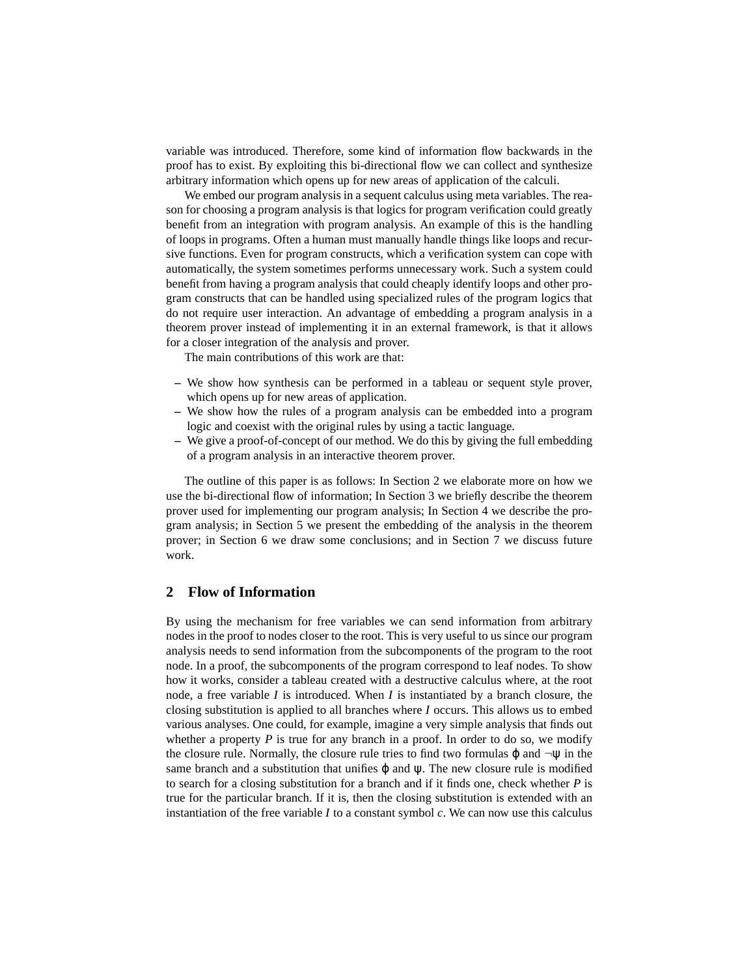variable was introduced. Therefore, some kind of information flow backwards in the proof has to exist. By exploiting this bi-directional flow we can collect and synthesize arbitrary information which opens up for new areas of application of the calculi.

We embed our program analysis in a sequent calculus using meta variables. The reason for choosing a program analysis is that logics for program verification could greatly benefit from an integration with program analysis. An example of this is the handling of loops in programs. Often a human must manually handle things like loops and recursive functions. Even for program constructs, which a verification system can cope with automatically, the system sometimes performs unnecessary work. Such a system could benefit from having a program analysis that could cheaply identify loops and other program constructs that can be handled using specialized rules of the program logics that do not require user interaction. An advantage of embedding a program analysis in a theorem prover instead of implementing it in an external framework, is that it allows for a closer integration of the analysis and prover.

The main contributions of this work are that:

- **–** We show how synthesis can be performed in a tableau or sequent style prover, which opens up for new areas of application.
- **–** We show how the rules of a program analysis can be embedded into a program logic and coexist with the original rules by using a tactic language.
- **–** We give a proof-of-concept of our method. We do this by giving the full embedding of a program analysis in an interactive theorem prover.

The outline of this paper is as follows: In Section 2 we elaborate more on how we use the bi-directional flow of information; In Section 3 we briefly describe the theorem prover used for implementing our program analysis; In Section 4 we describe the program analysis; in Section 5 we present the embedding of the analysis in the theorem prover; in Section 6 we draw some conclusions; and in Section 7 we discuss future work.

# **2 Flow of Information**

By using the mechanism for free variables we can send information from arbitrary nodes in the proof to nodes closer to the root. This is very useful to us since our program analysis needs to send information from the subcomponents of the program to the root node. In a proof, the subcomponents of the program correspond to leaf nodes. To show how it works, consider a tableau created with a destructive calculus where, at the root node, a free variable *I* is introduced. When *I* is instantiated by a branch closure, the closing substitution is applied to all branches where *I* occurs. This allows us to embed various analyses. One could, for example, imagine a very simple analysis that finds out whether a property  $P$  is true for any branch in a proof. In order to do so, we modify the closure rule. Normally, the closure rule tries to find two formulas  $\varphi$  and  $\neg \psi$  in the same branch and a substitution that unifies  $\varphi$  and  $\psi$ . The new closure rule is modified to search for a closing substitution for a branch and if it finds one, check whether *P* is true for the particular branch. If it is, then the closing substitution is extended with an instantiation of the free variable *I* to a constant symbol *c*. We can now use this calculus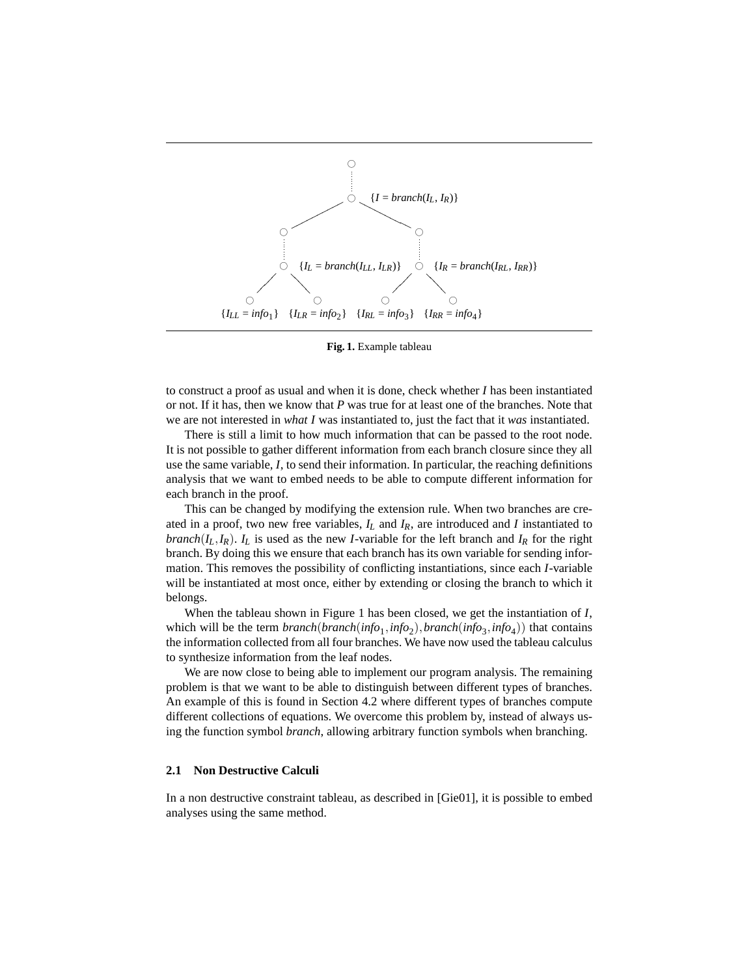

**Fig. 1.** Example tableau

to construct a proof as usual and when it is done, check whether *I* has been instantiated or not. If it has, then we know that *P* was true for at least one of the branches. Note that we are not interested in *what I* was instantiated to, just the fact that it *was* instantiated.

There is still a limit to how much information that can be passed to the root node. It is not possible to gather different information from each branch closure since they all use the same variable, *I*, to send their information. In particular, the reaching definitions analysis that we want to embed needs to be able to compute different information for each branch in the proof.

This can be changed by modifying the extension rule. When two branches are created in a proof, two new free variables,  $I_L$  and  $I_R$ , are introduced and  $I$  instantiated to *branch*( $I_L$ , $I_R$ ).  $I_L$  is used as the new *I*-variable for the left branch and  $I_R$  for the right branch. By doing this we ensure that each branch has its own variable for sending information. This removes the possibility of conflicting instantiations, since each *I*-variable will be instantiated at most once, either by extending or closing the branch to which it belongs.

When the tableau shown in Figure 1 has been closed, we get the instantiation of *I*, which will be the term *branch*(*branch*(*info*<sub>1</sub>,*info*<sub>2</sub>),*branch*(*info*<sub>3</sub>,*info*<sub>4</sub>)) that contains the information collected from all four branches. We have now used the tableau calculus to synthesize information from the leaf nodes.

We are now close to being able to implement our program analysis. The remaining problem is that we want to be able to distinguish between different types of branches. An example of this is found in Section 4.2 where different types of branches compute different collections of equations. We overcome this problem by, instead of always using the function symbol *branch*, allowing arbitrary function symbols when branching.

#### **2.1 Non Destructive Calculi**

In a non destructive constraint tableau, as described in [Gie01], it is possible to embed analyses using the same method.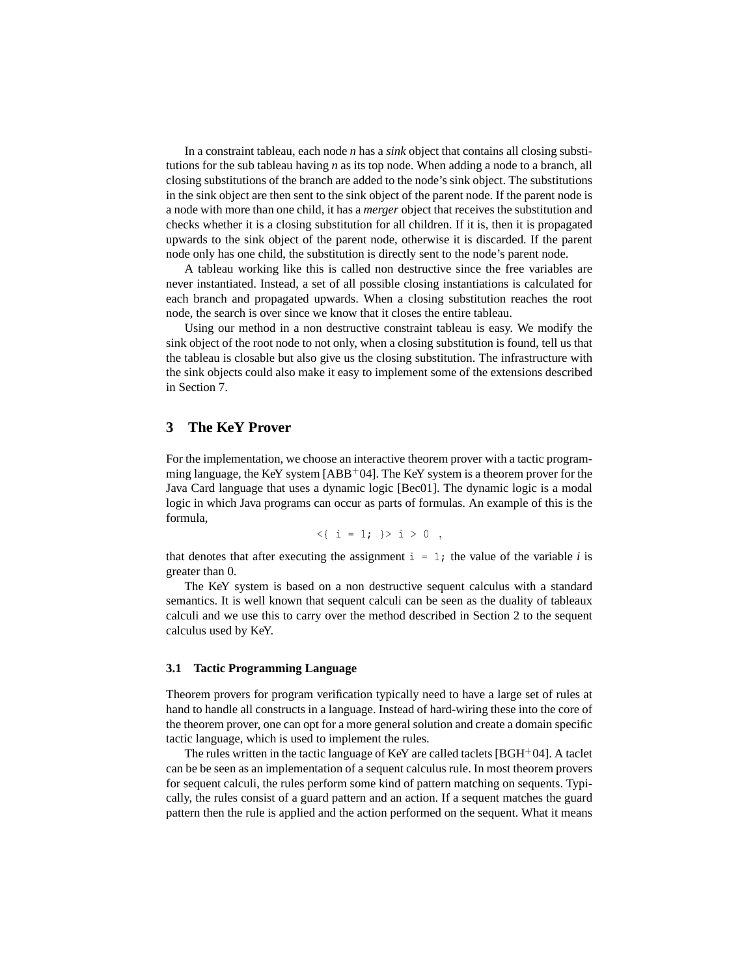In a constraint tableau, each node *n* has a *sink* object that contains all closing substitutions for the sub tableau having *n* as its top node. When adding a node to a branch, all closing substitutions of the branch are added to the node's sink object. The substitutions in the sink object are then sent to the sink object of the parent node. If the parent node is a node with more than one child, it has a *merger* object that receives the substitution and checks whether it is a closing substitution for all children. If it is, then it is propagated upwards to the sink object of the parent node, otherwise it is discarded. If the parent node only has one child, the substitution is directly sent to the node's parent node.

A tableau working like this is called non destructive since the free variables are never instantiated. Instead, a set of all possible closing instantiations is calculated for each branch and propagated upwards. When a closing substitution reaches the root node, the search is over since we know that it closes the entire tableau.

Using our method in a non destructive constraint tableau is easy. We modify the sink object of the root node to not only, when a closing substitution is found, tell us that the tableau is closable but also give us the closing substitution. The infrastructure with the sink objects could also make it easy to implement some of the extensions described in Section 7.

# **3 The KeY Prover**

For the implementation, we choose an interactive theorem prover with a tactic programming language, the KeY system  $[ABB^+04]$ . The KeY system is a theorem prover for the Java Card language that uses a dynamic logic [Bec01]. The dynamic logic is a modal logic in which Java programs can occur as parts of formulas. An example of this is the formula,

```
\langle i = 1; \rangle > i > 0,
```
that denotes that after executing the assignment  $i = 1$ ; the value of the variable *i* is greater than 0.

The KeY system is based on a non destructive sequent calculus with a standard semantics. It is well known that sequent calculi can be seen as the duality of tableaux calculi and we use this to carry over the method described in Section 2 to the sequent calculus used by KeY.

#### **3.1 Tactic Programming Language**

Theorem provers for program verification typically need to have a large set of rules at hand to handle all constructs in a language. Instead of hard-wiring these into the core of the theorem prover, one can opt for a more general solution and create a domain specific tactic language, which is used to implement the rules.

The rules written in the tactic language of  $KeY$  are called taclets [BGH+04]. A taclet can be be seen as an implementation of a sequent calculus rule. In most theorem provers for sequent calculi, the rules perform some kind of pattern matching on sequents. Typically, the rules consist of a guard pattern and an action. If a sequent matches the guard pattern then the rule is applied and the action performed on the sequent. What it means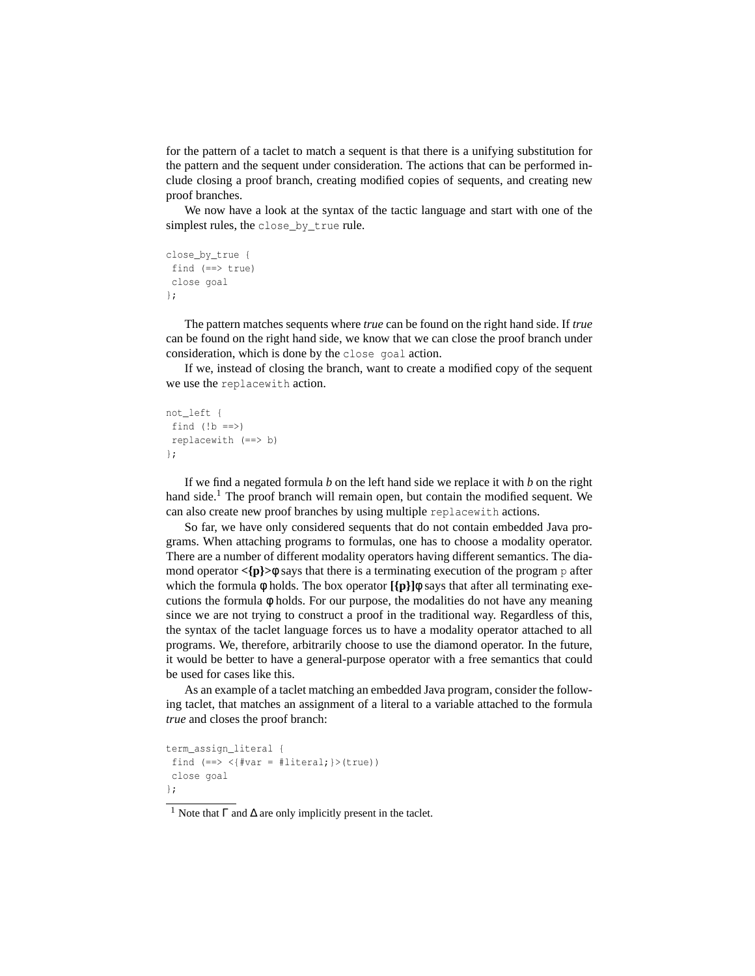for the pattern of a taclet to match a sequent is that there is a unifying substitution for the pattern and the sequent under consideration. The actions that can be performed include closing a proof branch, creating modified copies of sequents, and creating new proof branches.

We now have a look at the syntax of the tactic language and start with one of the simplest rules, the close by true rule.

```
close_by_true {
find (==> true)
close goal
};
```
The pattern matches sequents where *true* can be found on the right hand side. If *true* can be found on the right hand side, we know that we can close the proof branch under consideration, which is done by the close goal action.

If we, instead of closing the branch, want to create a modified copy of the sequent we use the replacewith action.

```
not_left {
find (lb ==)replacewith (==> b)
};
```
If we find a negated formula *b* on the left hand side we replace it with *b* on the right hand side.<sup>1</sup> The proof branch will remain open, but contain the modified sequent. We can also create new proof branches by using multiple replacewith actions.

So far, we have only considered sequents that do not contain embedded Java programs. When attaching programs to formulas, one has to choose a modality operator. There are a number of different modality operators having different semantics. The diamond operator  $\langle \mathbf{p} \rangle$  says that there is a terminating execution of the program p after which the formula φ holds. The box operator  $[{p}]$  φ says that after all terminating executions the formula  $\phi$  holds. For our purpose, the modalities do not have any meaning since we are not trying to construct a proof in the traditional way. Regardless of this, the syntax of the taclet language forces us to have a modality operator attached to all programs. We, therefore, arbitrarily choose to use the diamond operator. In the future, it would be better to have a general-purpose operator with a free semantics that could be used for cases like this.

As an example of a taclet matching an embedded Java program, consider the following taclet, that matches an assignment of a literal to a variable attached to the formula *true* and closes the proof branch:

```
term_assign_literal {
 find (==> \{ #var = #literal; \} \{true) )
 close goal
};
```
<sup>&</sup>lt;sup>1</sup> Note that  $\Gamma$  and  $\Delta$  are only implicitly present in the taclet.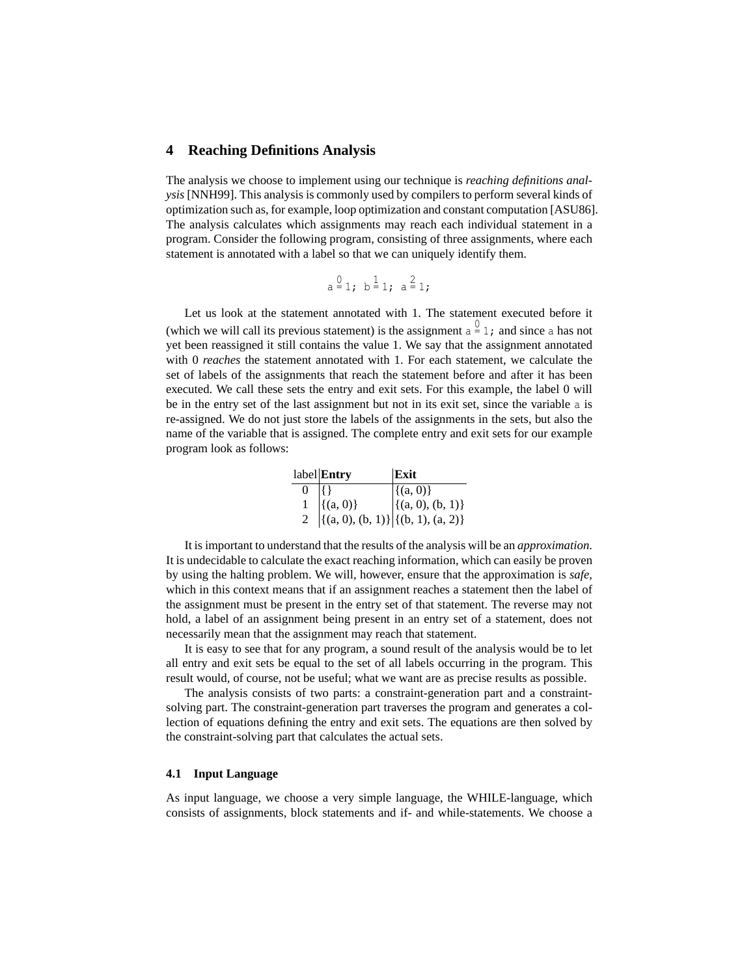## **4 Reaching Definitions Analysis**

The analysis we choose to implement using our technique is *reaching definitions analysis* [NNH99]. This analysis is commonly used by compilers to perform several kinds of optimization such as, for example, loop optimization and constant computation [ASU86]. The analysis calculates which assignments may reach each individual statement in a program. Consider the following program, consisting of three assignments, where each statement is annotated with a label so that we can uniquely identify them.

$$
a = 1
$$
;  $b = 1$ ;  $a = 1$ ;

Let us look at the statement annotated with 1. The statement executed before it (which we will call its previous statement) is the assignment  $a \stackrel{0}{=} 1$ ; and since a has not yet been reassigned it still contains the value 1. We say that the assignment annotated with 0 *reaches* the statement annotated with 1. For each statement, we calculate the set of labels of the assignments that reach the statement before and after it has been executed. We call these sets the entry and exit sets. For this example, the label 0 will be in the entry set of the last assignment but not in its exit set, since the variable a is re-assigned. We do not just store the labels of the assignments in the sets, but also the name of the variable that is assigned. The complete entry and exit sets for our example program look as follows:

|                | label <b>Entry</b>                                | Exit       |
|----------------|---------------------------------------------------|------------|
| $\overline{0}$ | $\vert \{ \}$                                     | ( (a, 0) ) |
|                |                                                   |            |
| $\overline{2}$ | $\{(a, 0)\}\{(a, 0), (b, 1)\}\{(b, 1), (a, 2)\}\$ |            |

It is important to understand that the results of the analysis will be an *approximation*. It is undecidable to calculate the exact reaching information, which can easily be proven by using the halting problem. We will, however, ensure that the approximation is *safe*, which in this context means that if an assignment reaches a statement then the label of the assignment must be present in the entry set of that statement. The reverse may not hold, a label of an assignment being present in an entry set of a statement, does not necessarily mean that the assignment may reach that statement.

It is easy to see that for any program, a sound result of the analysis would be to let all entry and exit sets be equal to the set of all labels occurring in the program. This result would, of course, not be useful; what we want are as precise results as possible.

The analysis consists of two parts: a constraint-generation part and a constraintsolving part. The constraint-generation part traverses the program and generates a collection of equations defining the entry and exit sets. The equations are then solved by the constraint-solving part that calculates the actual sets.

#### **4.1 Input Language**

As input language, we choose a very simple language, the WHILE-language, which consists of assignments, block statements and if- and while-statements. We choose a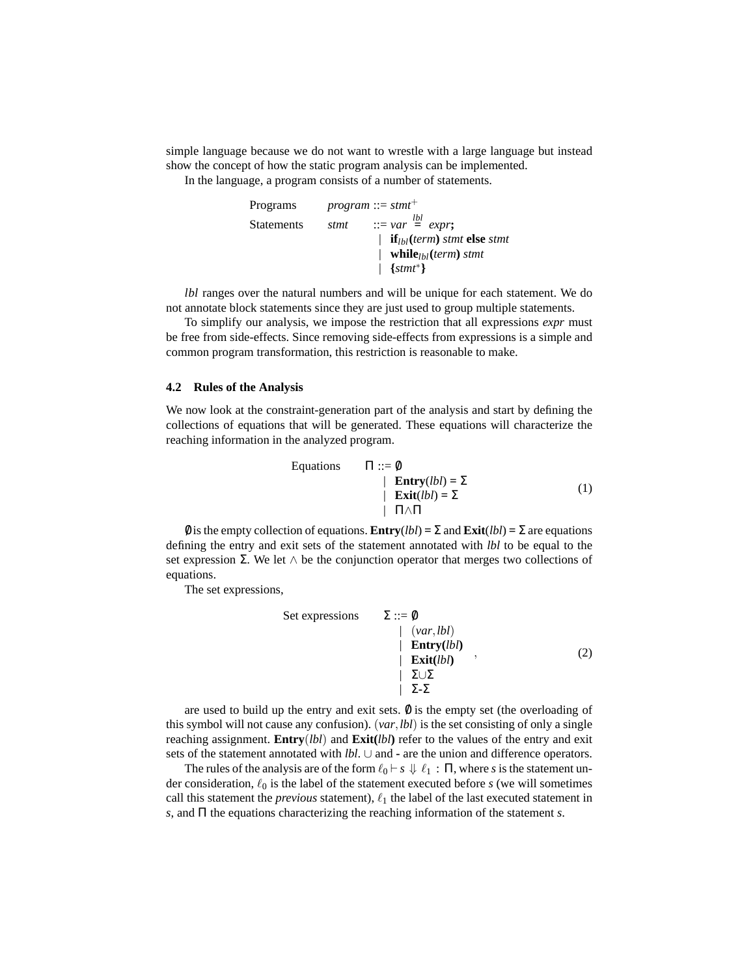simple language because we do not want to wrestle with a large language but instead show the concept of how the static program analysis can be implemented.

In the language, a program consists of a number of statements.

| Programs          |      | program ::= $stmt^+$                     |
|-------------------|------|------------------------------------------|
| <b>Statements</b> | stmt | $\cdots = var \stackrel{1bl}{=} expr;$   |
|                   |      | $\mathbf{if}_{1bl}(term)$ stmt else stmt |
|                   |      | while <sub>lbl</sub> (term) stmt         |
|                   |      | $\{stmt^*\}$                             |

*lbl* ranges over the natural numbers and will be unique for each statement. We do not annotate block statements since they are just used to group multiple statements.

To simplify our analysis, we impose the restriction that all expressions *expr* must be free from side-effects. Since removing side-effects from expressions is a simple and common program transformation, this restriction is reasonable to make.

#### **4.2 Rules of the Analysis**

We now look at the constraint-generation part of the analysis and start by defining the collections of equations that will be generated. These equations will characterize the reaching information in the analyzed program.

Equations 
$$
\Pi ::= 0
$$
  
\n $| \quad \text{Entry}(lbl) = \Sigma$   
\n $| \quad \text{Exit}(lbl) = \Sigma$   
\n $| \quad \Pi \wedge \Pi$  (1)

0 is the empty collection of equations. **Entry**(*lbl*) =  $\Sigma$  and **Exit**(*lbl*) =  $\Sigma$  are equations defining the entry and exit sets of the statement annotated with *lbl* to be equal to the set expression  $\Sigma$ . We let  $\wedge$  be the conjunction operator that merges two collections of equations.

The set expressions,

Set expressions 
$$
\Sigma ::= 0
$$
  
\n
$$
| (var, lbl)
$$
  
\n
$$
| \text{Entry}(lb)
$$
  
\n
$$
| \text{Exit}(lb)
$$
  
\n
$$
| \Sigma \cup \Sigma
$$
  
\n
$$
| \Sigma \Sigma
$$
  
\n(2)

are used to build up the entry and exit sets.  $\theta$  is the empty set (the overloading of this symbol will not cause any confusion). (*var*,*lbl*) is the set consisting of only a single reaching assignment. **Entry**(*lbl*) and **Exit(***lbl***)** refer to the values of the entry and exit sets of the statement annotated with *lbl*. ∪ and **-** are the union and difference operators.

The rules of the analysis are of the form  $\ell_0 \vdash s \Downarrow \ell_1 : \Pi$ , where *s* is the statement under consideration,  $\ell_0$  is the label of the statement executed before *s* (we will sometimes call this statement the *previous* statement),  $\ell_1$  the label of the last executed statement in *s*, and Π the equations characterizing the reaching information of the statement *s*.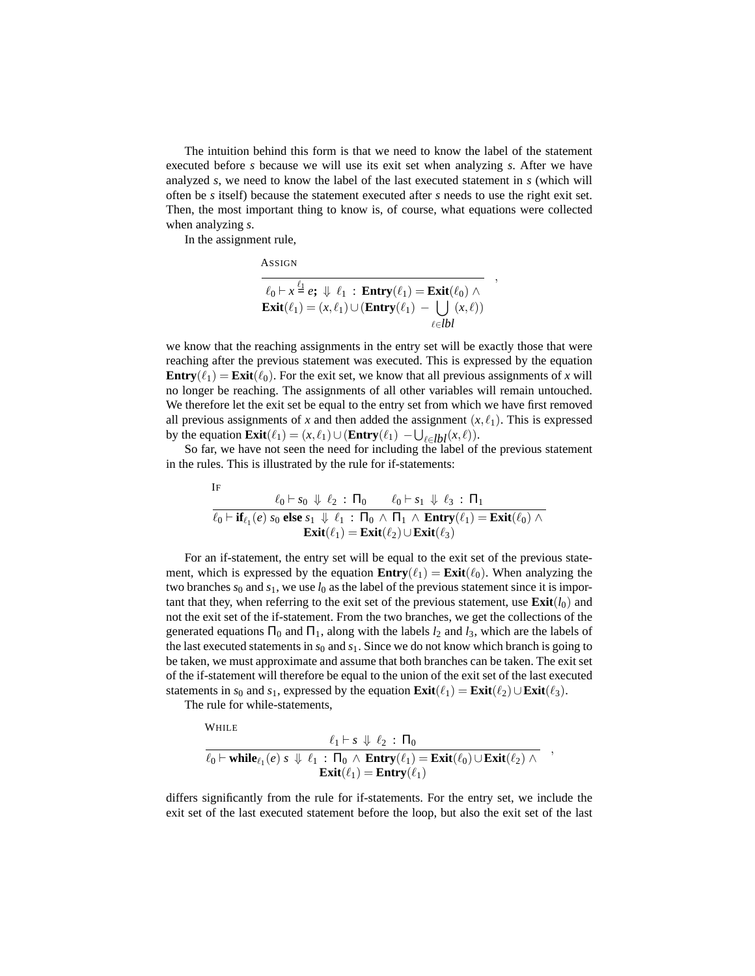The intuition behind this form is that we need to know the label of the statement executed before *s* because we will use its exit set when analyzing *s*. After we have analyzed *s*, we need to know the label of the last executed statement in *s* (which will often be *s* itself) because the statement executed after *s* needs to use the right exit set. Then, the most important thing to know is, of course, what equations were collected when analyzing *s*.

In the assignment rule,

ASSIGN

$$
\ell_0 \vdash x \stackrel{\ell_1}{=} e; \Downarrow \ell_1 : \text{Entry}(\ell_1) = \text{Exit}(\ell_0) \land
$$
  
Exit( $\ell_1$ ) = ( $x, \ell_1$ )  $\cup$  (Entry( $\ell_1$ ) -  $\bigcup_{\ell \in \text{lbl}} (x, \ell)$ )

,

,

we know that the reaching assignments in the entry set will be exactly those that were reaching after the previous statement was executed. This is expressed by the equation **Entry**( $\ell_1$ ) = **Exit**( $\ell_0$ ). For the exit set, we know that all previous assignments of *x* will no longer be reaching. The assignments of all other variables will remain untouched. We therefore let the exit set be equal to the entry set from which we have first removed all previous assignments of *x* and then added the assignment  $(x, \ell_1)$ . This is expressed by the equation  $\text{Exit}(\ell_1) = (x, \ell_1) \cup (\text{Entry}(\ell_1) - \bigcup_{\ell \in \text{lbl}} (x, \ell)).$ 

So far, we have not seen the need for including the label of the previous statement in the rules. This is illustrated by the rule for if-statements:

$$
\frac{I\mathrm{F}}{\ell_0 \vdash \mathbf{if}_{\ell_1}(e) \ s_0 \ \mathbf{else} \ s_1 \ \Downarrow \ \ell_1 \ : \ \Pi_0 \ \wedge \ \Pi_1 \ \wedge \ \mathbf{Entry}(\ell_1) = \mathbf{Exit}(\ell_0) \ \wedge \ \mathbf{Exit}(\ell_1) = \mathbf{Exit}(\ell_2) \cup \mathbf{Exit}(\ell_3)}
$$

For an if-statement, the entry set will be equal to the exit set of the previous statement, which is expressed by the equation **Entry**( $\ell_1$ ) = **Exit**( $\ell_0$ ). When analyzing the two branches  $s_0$  and  $s_1$ , we use  $l_0$  as the label of the previous statement since it is important that they, when referring to the exit set of the previous statement, use  $\text{Exit}(l_0)$  and not the exit set of the if-statement. From the two branches, we get the collections of the generated equations  $\Pi_0$  and  $\Pi_1$ , along with the labels  $l_2$  and  $l_3$ , which are the labels of the last executed statements in  $s_0$  and  $s_1$ . Since we do not know which branch is going to be taken, we must approximate and assume that both branches can be taken. The exit set of the if-statement will therefore be equal to the union of the exit set of the last executed statements in *s*<sub>0</sub> and *s*<sub>1</sub>, expressed by the equation  $\text{Exit}(\ell_1) = \text{Exit}(\ell_2) \cup \text{Exit}(\ell_3)$ .

The rule for while-statements,

WHILE

$$
\ell_1 \vdash s \Downarrow \ell_2 : \Pi_0
$$
\n
$$
\ell_0 \vdash \textbf{while}_{\ell_1}(e) \ s \Downarrow \ell_1 : \Pi_0 \land \textbf{Entry}(\ell_1) = \textbf{Exit}(\ell_0) \cup \textbf{Exit}(\ell_2) \land \textbf{Exit}(\ell_1) = \textbf{Entry}(\ell_1)
$$

differs significantly from the rule for if-statements. For the entry set, we include the exit set of the last executed statement before the loop, but also the exit set of the last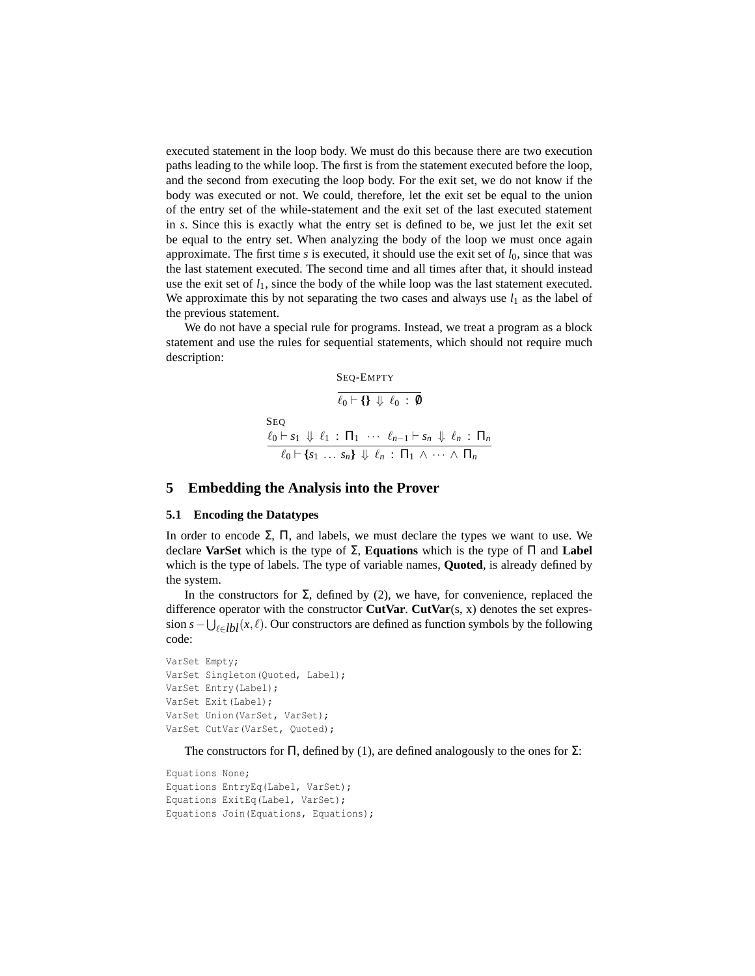executed statement in the loop body. We must do this because there are two execution paths leading to the while loop. The first is from the statement executed before the loop, and the second from executing the loop body. For the exit set, we do not know if the body was executed or not. We could, therefore, let the exit set be equal to the union of the entry set of the while-statement and the exit set of the last executed statement in *s*. Since this is exactly what the entry set is defined to be, we just let the exit set be equal to the entry set. When analyzing the body of the loop we must once again approximate. The first time  $s$  is executed, it should use the exit set of  $l_0$ , since that was the last statement executed. The second time and all times after that, it should instead use the exit set of  $l_1$ , since the body of the while loop was the last statement executed. We approximate this by not separating the two cases and always use  $l_1$  as the label of the previous statement.

We do not have a special rule for programs. Instead, we treat a program as a block statement and use the rules for sequential statements, which should not require much description:

> SEQ-EMPTY  $\overline{\ell_0 \vdash \{\}\Downarrow \ell_0 : \emptyset}$  $S<sub>FO</sub>$  $\ell_0 \vdash s_1 \Downarrow \ell_1 : \Pi_1 \cdots \ell_{n-1} \vdash s_n \Downarrow \ell_n : \Pi_n$  $\ell_0 \vdash \{s_1 \ldots s_n\} \Downarrow \ell_n : \Pi_1 \wedge \cdots \wedge \Pi_n$

#### **5 Embedding the Analysis into the Prover**

#### **5.1 Encoding the Datatypes**

In order to encode  $\Sigma$ ,  $\Pi$ , and labels, we must declare the types we want to use. We declare **VarSet** which is the type of Σ, **Equations** which is the type of Π and **Label** which is the type of labels. The type of variable names, **Quoted**, is already defined by the system.

In the constructors for  $\Sigma$ , defined by (2), we have, for convenience, replaced the difference operator with the constructor **CutVar**. **CutVar**(s, x) denotes the set expression  $s - \bigcup_{\ell \in \text{Ibl}} (x, \ell)$ . Our constructors are defined as function symbols by the following code:

```
VarSet Empty;
VarSet Singleton(Quoted, Label);
VarSet Entry(Label);
VarSet Exit(Label);
VarSet Union(VarSet, VarSet);
VarSet CutVar(VarSet, Quoted);
```
The constructors for  $\Pi$ , defined by (1), are defined analogously to the ones for  $\Sigma$ :

```
Equations None;
Equations EntryEq(Label, VarSet);
Equations ExitEq(Label, VarSet);
Equations Join(Equations, Equations);
```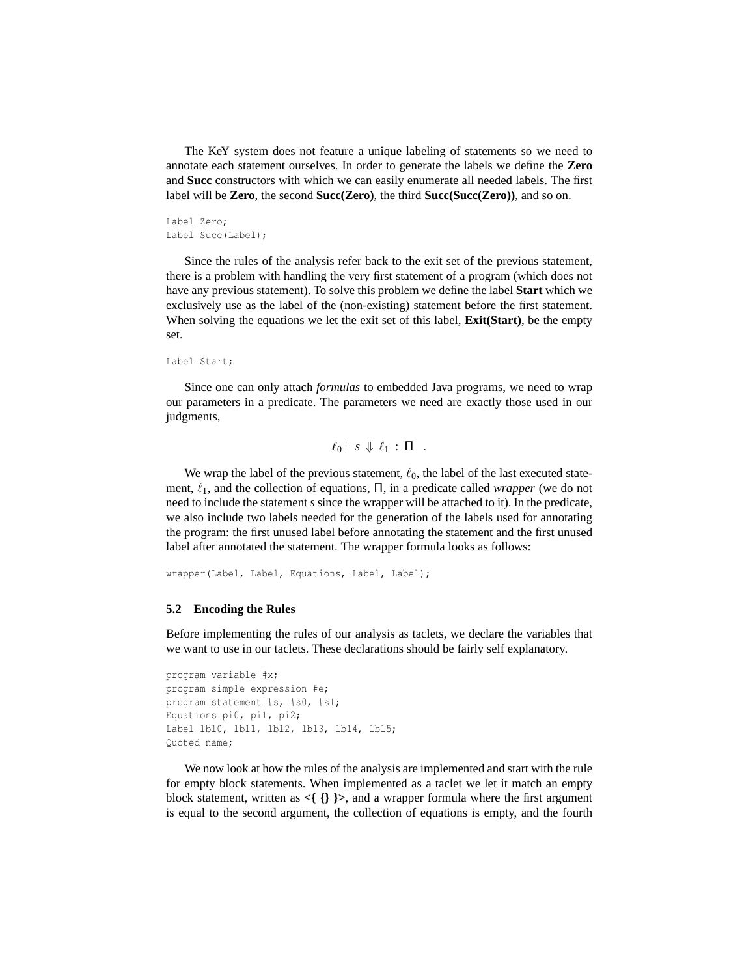The KeY system does not feature a unique labeling of statements so we need to annotate each statement ourselves. In order to generate the labels we define the **Zero** and **Succ** constructors with which we can easily enumerate all needed labels. The first label will be **Zero**, the second **Succ(Zero)**, the third **Succ(Succ(Zero))**, and so on.

Label Zero; Label Succ(Label);

Since the rules of the analysis refer back to the exit set of the previous statement, there is a problem with handling the very first statement of a program (which does not have any previous statement). To solve this problem we define the label **Start** which we exclusively use as the label of the (non-existing) statement before the first statement. When solving the equations we let the exit set of this label, **Exit(Start)**, be the empty set.

Label Start;

Since one can only attach *formulas* to embedded Java programs, we need to wrap our parameters in a predicate. The parameters we need are exactly those used in our judgments,

$$
\ell_0 \vdash s \Downarrow \ell_1 : \Pi .
$$

We wrap the label of the previous statement,  $\ell_0$ , the label of the last executed statement,  $\ell_1$ , and the collection of equations,  $\Pi$ , in a predicate called *wrapper* (we do not need to include the statement *s* since the wrapper will be attached to it). In the predicate, we also include two labels needed for the generation of the labels used for annotating the program: the first unused label before annotating the statement and the first unused label after annotated the statement. The wrapper formula looks as follows:

wrapper(Label, Label, Equations, Label, Label);

#### **5.2 Encoding the Rules**

Before implementing the rules of our analysis as taclets, we declare the variables that we want to use in our taclets. These declarations should be fairly self explanatory.

```
program variable #x;
program simple expression #e;
program statement #s, #s0, #s1;
Equations pi0, pi1, pi2;
Label lbl0, lbl1, lbl2, lbl3, lbl4, lbl5;
Quoted name;
```
We now look at how the rules of the analysis are implemented and start with the rule for empty block statements. When implemented as a taclet we let it match an empty block statement, written as **<{ {} }>**, and a wrapper formula where the first argument is equal to the second argument, the collection of equations is empty, and the fourth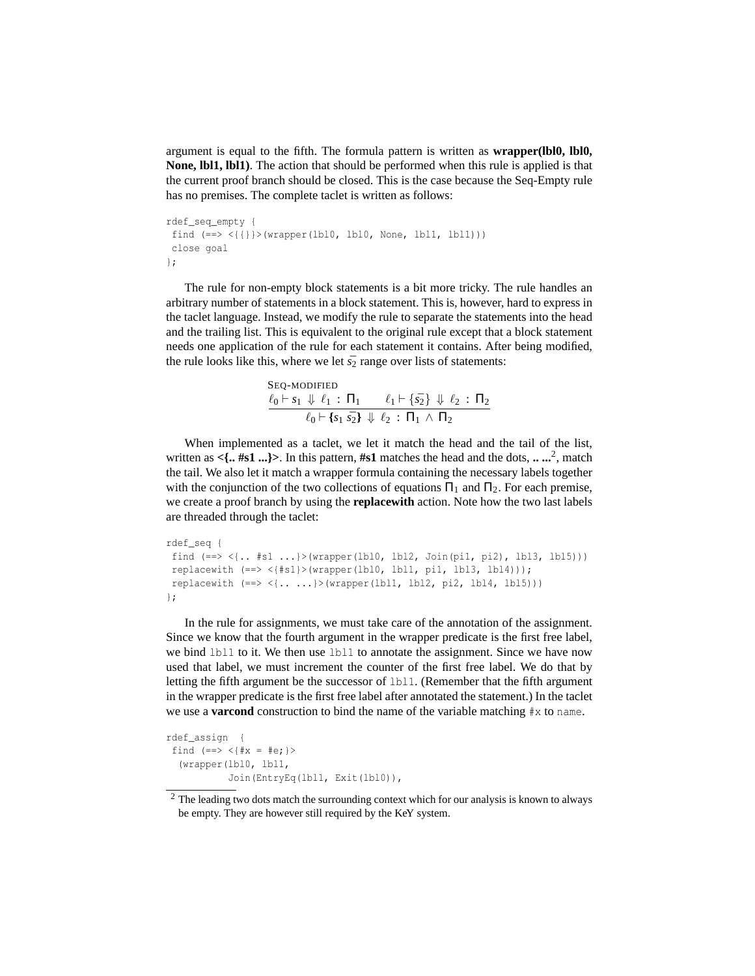argument is equal to the fifth. The formula pattern is written as **wrapper(lbl0, lbl0, None, lbl1, lbl1)**. The action that should be performed when this rule is applied is that the current proof branch should be closed. This is the case because the Seq-Empty rule has no premises. The complete taclet is written as follows:

```
rdef_seq_empty {
 find (==> <{{}}>(wrapper(lbl0, lbl0, None, lbl1, lbl1)))
close goal
};
```
The rule for non-empty block statements is a bit more tricky. The rule handles an arbitrary number of statements in a block statement. This is, however, hard to express in the taclet language. Instead, we modify the rule to separate the statements into the head and the trailing list. This is equivalent to the original rule except that a block statement needs one application of the rule for each statement it contains. After being modified, the rule looks like this, where we let  $\bar{s}_2$  range over lists of statements:

> SEQ-MODIFIED  $\ell_0 \vdash s_1 \Downarrow \ell_1 : \Pi_1 \qquad \ell_1 \vdash \{\bar{s_2}\} \Downarrow \ell_2 : \Pi_2$  $\ell_0 \vdash \{s_1 \, s_2\} \Downarrow \ell_2 : \Pi_1 \wedge \Pi_2$

When implemented as a taclet, we let it match the head and the tail of the list, written as  $\langle \cdot, \cdot \cdot \cdot \cdot \rangle$ . In this pattern, #**s1** matches the head and the dots, ... ...<sup>2</sup>, match the tail. We also let it match a wrapper formula containing the necessary labels together with the conjunction of the two collections of equations  $\Pi_1$  and  $\Pi_2$ . For each premise, we create a proof branch by using the **replacewith** action. Note how the two last labels are threaded through the taclet:

```
rdef_seq {
 find (==> <{.. #s1 ...}>(wrapper(lbl0, lbl2, Join(pi1, pi2), lbl3, lbl5)))
 replacewith (==> <{#s1}>(wrapper(lbl0, lbl1, pi1, lbl3, lbl4)));
 replacewith (==> <{.. ...}>(wrapper(lbl1, lbl2, pi2, lbl4, lbl5)))
};
```
In the rule for assignments, we must take care of the annotation of the assignment. Since we know that the fourth argument in the wrapper predicate is the first free label, we bind  $1b11$  to it. We then use  $1b11$  to annotate the assignment. Since we have now used that label, we must increment the counter of the first free label. We do that by letting the fifth argument be the successor of lbl1. (Remember that the fifth argument in the wrapper predicate is the first free label after annotated the statement.) In the taclet we use a **varcond** construction to bind the name of the variable matching  $\#x$  to name.

```
rdef_assign {
 find (==> <{#x = #e; } >
  (wrapper(lbl0, lbl1,
           Join(EntryEq(lbl1, Exit(lbl0)),
```
<sup>&</sup>lt;sup>2</sup> The leading two dots match the surrounding context which for our analysis is known to always be empty. They are however still required by the KeY system.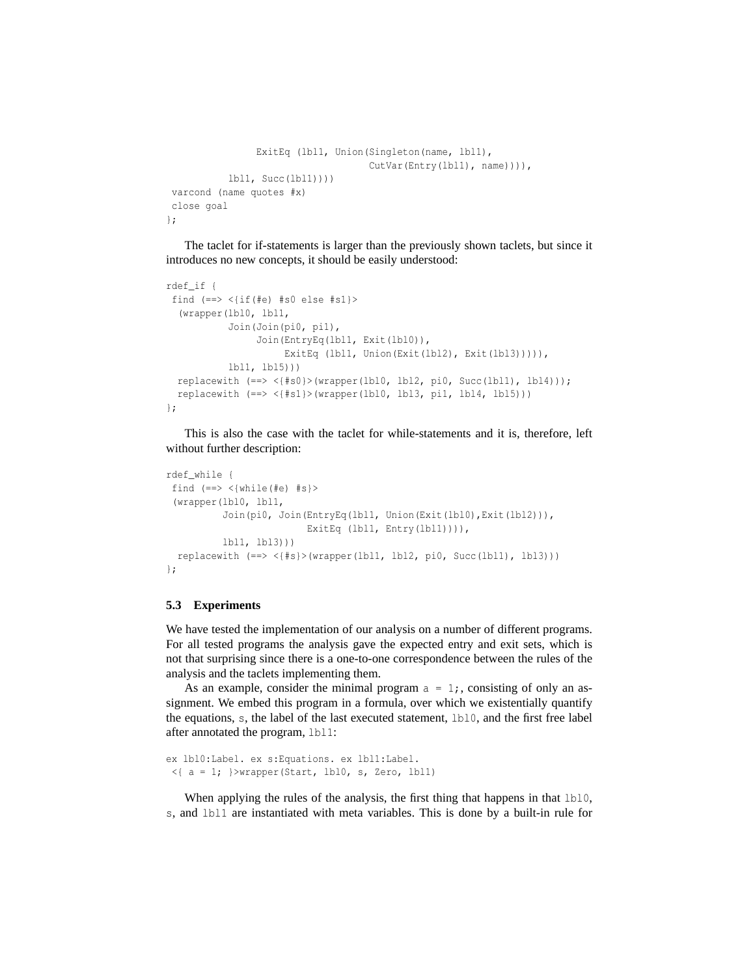```
ExitEq (lbl1, Union(Singleton(name, lbl1),
                                   CutVar(Entry(lbl1), name)))),
          lbl1, Succ(lbl1)))varcond (name quotes #x)
close goal
};
```
The taclet for if-statements is larger than the previously shown taclets, but since it introduces no new concepts, it should be easily understood:

```
rdef_if {
find (==> {if(Fe) #s0 else #s1})(wrapper(lbl0, lbl1,
          Join(Join(pi0, pi1),
                Join(EntryEq(lbl1, Exit(lbl0)),
                     ExitEq (lbl1, Union(Exit(lbl2), Exit(lbl3))))),
           lbl1, lbl5)))
  replacewith (==> <{#s0}>(wrapper(lbl0, lbl2, pi0, Succ(lbl1), lbl4)));
  replacewith (==> <{#s1}>(wrapper(lbl0, lbl3, pi1, lbl4, lbl5)))
};
```
This is also the case with the taclet for while-statements and it is, therefore, left without further description:

```
rdef_while {
 find (==> \langle \text{while} (\#e) \#s \rangle)(wrapper(lbl0, lbl1,
           Join(pi0, Join(EntryEq(lbl1, Union(Exit(lbl0), Exit(lbl2))),
                           ExitEq (lbl1, Entry(lbl1)))),
           lbl1, lbl3)))
  replacewith (==> <{#s}>(wrapper(lbl1, lbl2, pi0, Succ(lbl1), lbl3)))
};
```
#### **5.3 Experiments**

We have tested the implementation of our analysis on a number of different programs. For all tested programs the analysis gave the expected entry and exit sets, which is not that surprising since there is a one-to-one correspondence between the rules of the analysis and the taclets implementing them.

As an example, consider the minimal program  $a = 1$ ;, consisting of only an assignment. We embed this program in a formula, over which we existentially quantify the equations, s, the label of the last executed statement, 1b10, and the first free label after annotated the program, lbl1:

```
ex lbl0:Label. ex s:Equations. ex lbl1:Label.
 <{ a = 1; }>wrapper(Start, lbl0, s, Zero, lbl1)
```
When applying the rules of the analysis, the first thing that happens in that lbl0, s, and lbl1 are instantiated with meta variables. This is done by a built-in rule for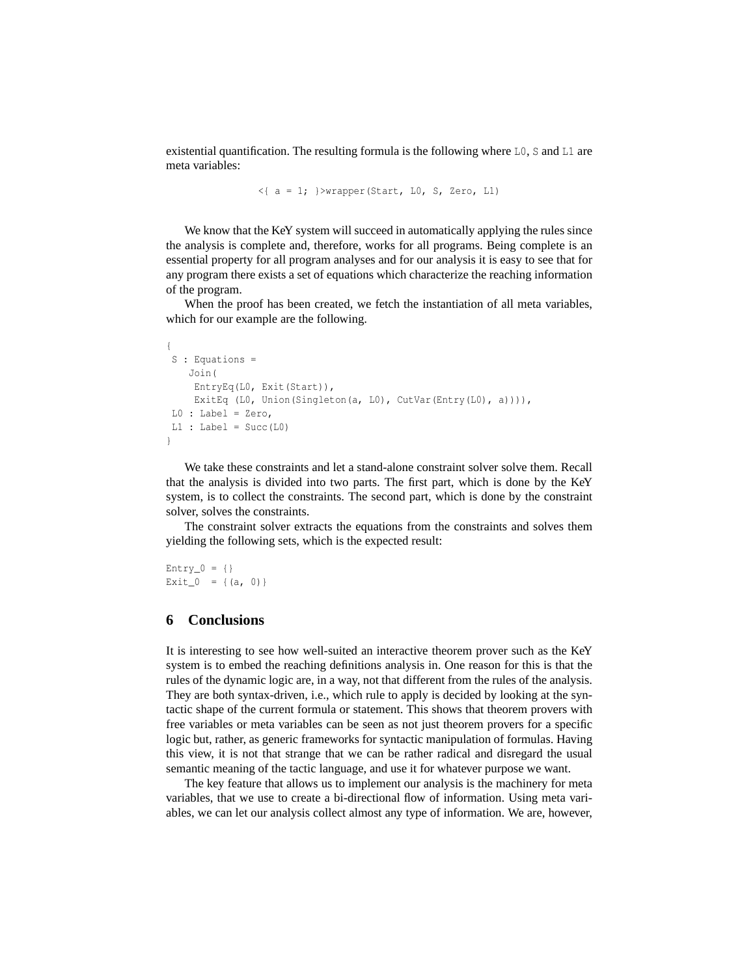existential quantification. The resulting formula is the following where  $L_0$ , S and  $L_1$  are meta variables:

```
\langle \{ a = 1; \} \ranglewrapper(Start, LO, S, Zero, L1)
```
We know that the KeY system will succeed in automatically applying the rules since the analysis is complete and, therefore, works for all programs. Being complete is an essential property for all program analyses and for our analysis it is easy to see that for any program there exists a set of equations which characterize the reaching information of the program.

When the proof has been created, we fetch the instantiation of all meta variables, which for our example are the following.

```
{
S : Equations =
   Join(
    EntryEq(L0, Exit(Start)),
     ExitEq (L0, Union(Singleton(a, L0), CutVar(Entry(L0), a)))),
 L0 : Label = Zero,
LI : Label = Succ(L0)}
```
We take these constraints and let a stand-alone constraint solver solve them. Recall that the analysis is divided into two parts. The first part, which is done by the KeY system, is to collect the constraints. The second part, which is done by the constraint solver, solves the constraints.

The constraint solver extracts the equations from the constraints and solves them yielding the following sets, which is the expected result:

 $Entry_0 = {}$ Exit\_0 = { $(a, 0)$ }

## **6 Conclusions**

It is interesting to see how well-suited an interactive theorem prover such as the KeY system is to embed the reaching definitions analysis in. One reason for this is that the rules of the dynamic logic are, in a way, not that different from the rules of the analysis. They are both syntax-driven, i.e., which rule to apply is decided by looking at the syntactic shape of the current formula or statement. This shows that theorem provers with free variables or meta variables can be seen as not just theorem provers for a specific logic but, rather, as generic frameworks for syntactic manipulation of formulas. Having this view, it is not that strange that we can be rather radical and disregard the usual semantic meaning of the tactic language, and use it for whatever purpose we want.

The key feature that allows us to implement our analysis is the machinery for meta variables, that we use to create a bi-directional flow of information. Using meta variables, we can let our analysis collect almost any type of information. We are, however,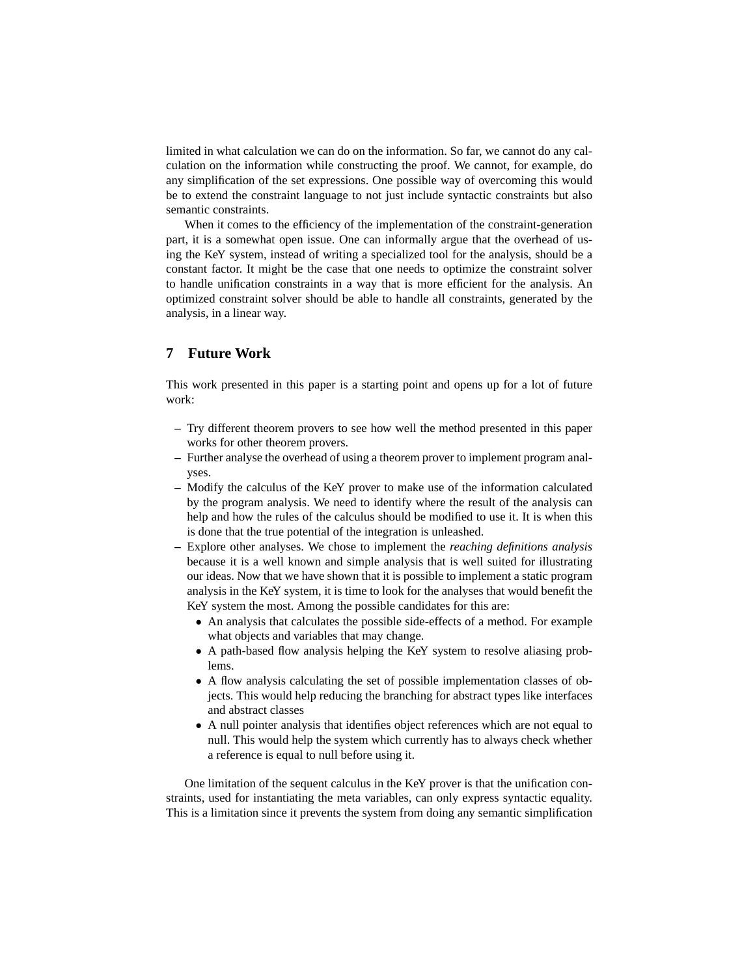limited in what calculation we can do on the information. So far, we cannot do any calculation on the information while constructing the proof. We cannot, for example, do any simplification of the set expressions. One possible way of overcoming this would be to extend the constraint language to not just include syntactic constraints but also semantic constraints.

When it comes to the efficiency of the implementation of the constraint-generation part, it is a somewhat open issue. One can informally argue that the overhead of using the KeY system, instead of writing a specialized tool for the analysis, should be a constant factor. It might be the case that one needs to optimize the constraint solver to handle unification constraints in a way that is more efficient for the analysis. An optimized constraint solver should be able to handle all constraints, generated by the analysis, in a linear way.

# **7 Future Work**

This work presented in this paper is a starting point and opens up for a lot of future work:

- **–** Try different theorem provers to see how well the method presented in this paper works for other theorem provers.
- **–** Further analyse the overhead of using a theorem prover to implement program analyses.
- **–** Modify the calculus of the KeY prover to make use of the information calculated by the program analysis. We need to identify where the result of the analysis can help and how the rules of the calculus should be modified to use it. It is when this is done that the true potential of the integration is unleashed.
- **–** Explore other analyses. We chose to implement the *reaching definitions analysis* because it is a well known and simple analysis that is well suited for illustrating our ideas. Now that we have shown that it is possible to implement a static program analysis in the KeY system, it is time to look for the analyses that would benefit the KeY system the most. Among the possible candidates for this are:
	- An analysis that calculates the possible side-effects of a method. For example what objects and variables that may change.
	- A path-based flow analysis helping the KeY system to resolve aliasing problems.
	- A flow analysis calculating the set of possible implementation classes of objects. This would help reducing the branching for abstract types like interfaces and abstract classes
	- A null pointer analysis that identifies object references which are not equal to null. This would help the system which currently has to always check whether a reference is equal to null before using it.

One limitation of the sequent calculus in the KeY prover is that the unification constraints, used for instantiating the meta variables, can only express syntactic equality. This is a limitation since it prevents the system from doing any semantic simplification